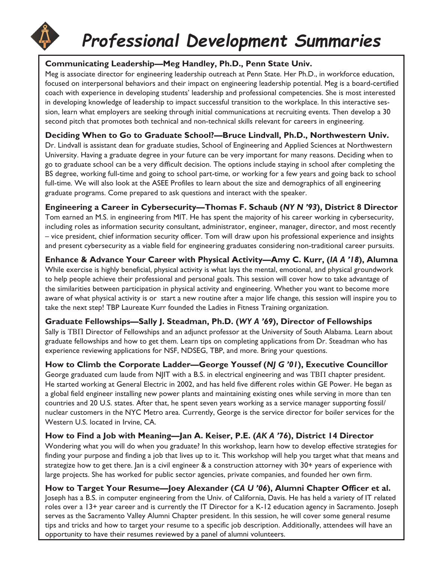## **Professional Development Summaries**

#### **Communicating Leadership—Meg Handley, Ph.D., Penn State Univ.**

Meg is associate director for engineering leadership outreach at Penn State. Her Ph.D., in workforce education, focused on interpersonal behaviors and their impact on engineering leadership potential. Meg is a board-certified coach with experience in developing students' leadership and professional competencies. She is most interested in developing knowledge of leadership to impact successful transition to the workplace. In this interactive session, learn what employers are seeking through initial communications at recruiting events. Then develop a 30 second pitch that promotes both technical and non-technical skills relevant for careers in engineering.

### **Deciding When to Go to Graduate School?—Bruce Lindvall, Ph.D., Northwestern Univ.**

Dr. Lindvall is assistant dean for graduate studies, School of Engineering and Applied Sciences at Northwestern University. Having a graduate degree in your future can be very important for many reasons. Deciding when to go to graduate school can be a very difficult decision. The options include staying in school after completing the BS degree, working full-time and going to school part-time, or working for a few years and going back to school full-time. We will also look at the ASEE Profiles to learn about the size and demographics of all engineering graduate programs. Come prepared to ask questions and interact with the speaker.

**Engineering a Career in Cybersecurity—Thomas F. Schaub (***NY N '93***), District 8 Director** Tom earned an M.S. in engineering from MIT. He has spent the majority of his career working in cybersecurity, including roles as information security consultant, administrator, engineer, manager, director, and most recently – vice president, chief information security officer. Tom will draw upon his professional experience and insights and present cybersecurity as a viable field for engineering graduates considering non-traditional career pursuits.

**Enhance & Advance Your Career with Physical Activity—Amy C. Kurr, (***IA A '18***), Alumna** While exercise is highly beneficial, physical activity is what lays the mental, emotional, and physical groundwork to help people achieve their professional and personal goals. This session will cover how to take advantage of the similarities between participation in physical activity and engineering. Whether you want to become more aware of what physical activity is or start a new routine after a major life change, this session will inspire you to take the next step! TBP Laureate Kurr founded the Ladies in Fitness Training organization.

#### **Graduate Fellowships—Sally J. Steadman, Ph.D. (***WY A '69***), Director of Fellowships**

Sally is TBII Director of Fellowships and an adjunct professor at the University of South Alabama. Learn about graduate fellowships and how to get them. Learn tips on completing applications from Dr. Steadman who has experience reviewing applications for NSF, NDSEG, TBP, and more. Bring your questions.

#### **How to Climb the Corporate Ladder—George Youssef (***NJ G '01***), Executive Councillor**

George graduated cum laude from NJIT with a B.S. in electrical engineering and was TBIT chapter president. He started working at General Electric in 2002, and has held five different roles within GE Power. He began as a global field engineer installing new power plants and maintaining existing ones while serving in more than ten countries and 20 U.S. states. After that, he spent seven years working as a service manager supporting fossil/ nuclear customers in the NYC Metro area. Currently, George is the service director for boiler services for the Western U.S. located in Irvine, CA.

#### **How to Find a Job with Meaning—Jan A. Keiser, P.E. (***AK A '76***), District 14 Director**

Wondering what you will do when you graduate? In this workshop, learn how to develop effective strategies for finding your purpose and finding a job that lives up to it. This workshop will help you target what that means and strategize how to get there. Jan is a civil engineer & a construction attorney with 30+ years of experience with large projects. She has worked for public sector agencies, private companies, and founded her own firm.

#### **How to Target Your Resume—Joey Alexander (***CA U '06***), Alumni Chapter Officer et al.**

Joseph has a B.S. in computer engineering from the Univ. of California, Davis. He has held a variety of IT related roles over a 13+ year career and is currently the IT Director for a K-12 education agency in Sacramento. Joseph serves as the Sacramento Valley Alumni Chapter president. In this session, he will cover some general resume tips and tricks and how to target your resume to a specific job description. Additionally, attendees will have an opportunity to have their resumes reviewed by a panel of alumni volunteers.

*30*